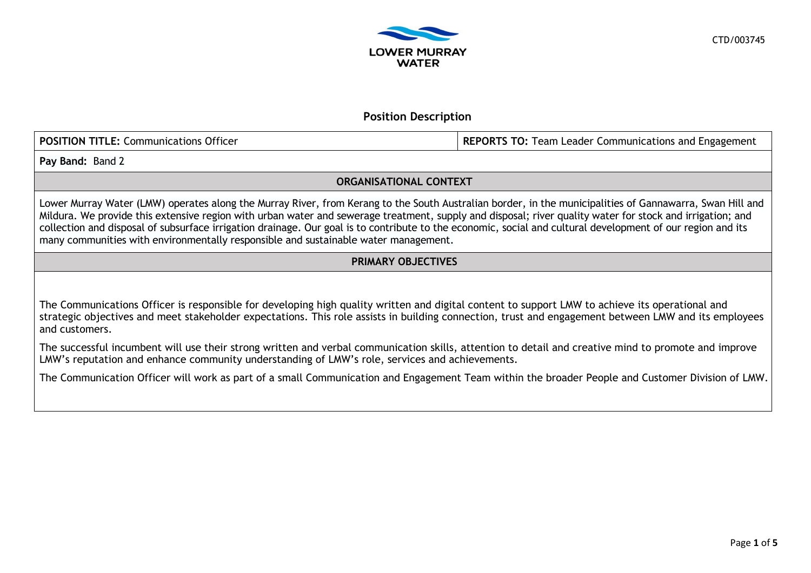

# **Position Description**

**POSITION TITLE:** Communications Officer **REPORTS TO:** Team Leader Communications and Engagement

**Pay Band:** Band 2

## **ORGANISATIONAL CONTEXT**

Lower Murray Water (LMW) operates along the Murray River, from Kerang to the South Australian border, in the municipalities of Gannawarra, Swan Hill and Mildura. We provide this extensive region with urban water and sewerage treatment, supply and disposal; river quality water for stock and irrigation; and collection and disposal of subsurface irrigation drainage. Our goal is to contribute to the economic, social and cultural development of our region and its many communities with environmentally responsible and sustainable water management.

# **PRIMARY OBJECTIVES**

The Communications Officer is responsible for developing high quality written and digital content to support LMW to achieve its operational and strategic objectives and meet stakeholder expectations. This role assists in building connection, trust and engagement between LMW and its employees and customers.

The successful incumbent will use their strong written and verbal communication skills, attention to detail and creative mind to promote and improve LMW's reputation and enhance community understanding of LMW's role, services and achievements.

The Communication Officer will work as part of a small Communication and Engagement Team within the broader People and Customer Division of LMW.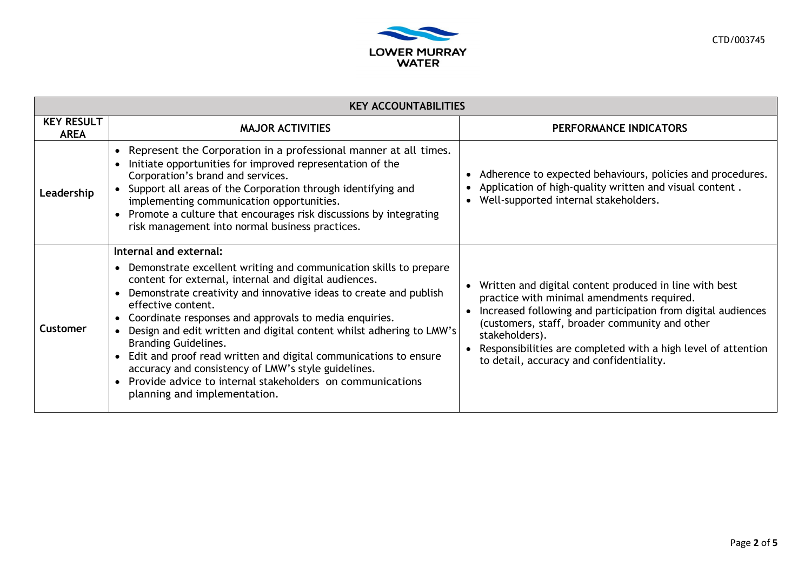

| <b>KEY ACCOUNTABILITIES</b>      |                                                                                                                                                                                                                                                                                                                                                                                                                                                                                                                                                                                                                                          |                                                                                                                                                                                                                                                                                                                                                       |  |  |  |
|----------------------------------|------------------------------------------------------------------------------------------------------------------------------------------------------------------------------------------------------------------------------------------------------------------------------------------------------------------------------------------------------------------------------------------------------------------------------------------------------------------------------------------------------------------------------------------------------------------------------------------------------------------------------------------|-------------------------------------------------------------------------------------------------------------------------------------------------------------------------------------------------------------------------------------------------------------------------------------------------------------------------------------------------------|--|--|--|
| <b>KEY RESULT</b><br><b>AREA</b> | <b>MAJOR ACTIVITIES</b>                                                                                                                                                                                                                                                                                                                                                                                                                                                                                                                                                                                                                  | PERFORMANCE INDICATORS                                                                                                                                                                                                                                                                                                                                |  |  |  |
| Leadership                       | Represent the Corporation in a professional manner at all times.<br>Initiate opportunities for improved representation of the<br>Corporation's brand and services.<br>Support all areas of the Corporation through identifying and<br>implementing communication opportunities.<br>• Promote a culture that encourages risk discussions by integrating<br>risk management into normal business practices.                                                                                                                                                                                                                                | Adherence to expected behaviours, policies and procedures.<br>Application of high-quality written and visual content.<br>Well-supported internal stakeholders.<br>$\bullet$                                                                                                                                                                           |  |  |  |
| Customer                         | Internal and external:<br>Demonstrate excellent writing and communication skills to prepare<br>content for external, internal and digital audiences.<br>Demonstrate creativity and innovative ideas to create and publish<br>effective content.<br>Coordinate responses and approvals to media enquiries.<br>Design and edit written and digital content whilst adhering to LMW's<br><b>Branding Guidelines.</b><br>Edit and proof read written and digital communications to ensure<br>accuracy and consistency of LMW's style guidelines.<br>Provide advice to internal stakeholders on communications<br>planning and implementation. | Written and digital content produced in line with best<br>practice with minimal amendments required.<br>Increased following and participation from digital audiences<br>(customers, staff, broader community and other<br>stakeholders).<br>Responsibilities are completed with a high level of attention<br>to detail, accuracy and confidentiality. |  |  |  |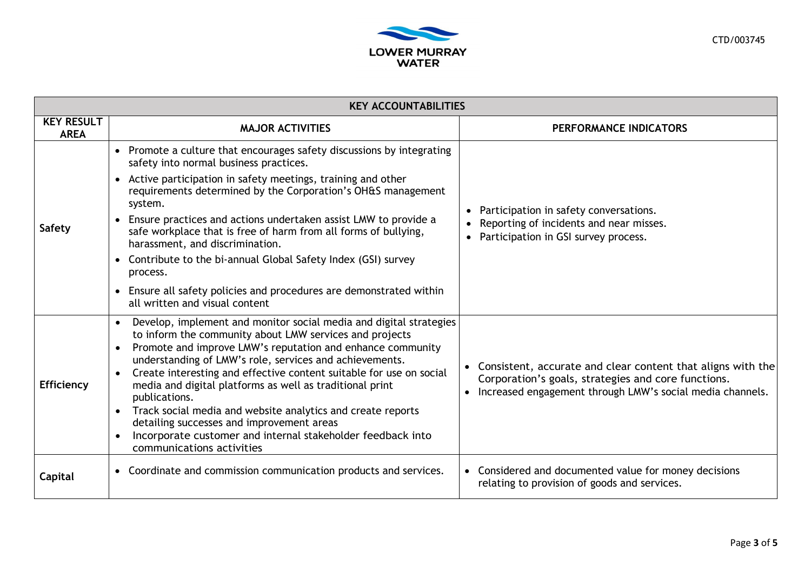

| <b>KEY ACCOUNTABILITIES</b>      |                                                                                                                                                                                                                                                                                                                                                                                                                                                                                                                                                                                                                                      |                                                                                                                                                                                              |  |  |
|----------------------------------|--------------------------------------------------------------------------------------------------------------------------------------------------------------------------------------------------------------------------------------------------------------------------------------------------------------------------------------------------------------------------------------------------------------------------------------------------------------------------------------------------------------------------------------------------------------------------------------------------------------------------------------|----------------------------------------------------------------------------------------------------------------------------------------------------------------------------------------------|--|--|
| <b>KEY RESULT</b><br><b>AREA</b> | <b>MAJOR ACTIVITIES</b>                                                                                                                                                                                                                                                                                                                                                                                                                                                                                                                                                                                                              | PERFORMANCE INDICATORS                                                                                                                                                                       |  |  |
| <b>Safety</b>                    | • Promote a culture that encourages safety discussions by integrating<br>safety into normal business practices.<br>Active participation in safety meetings, training and other<br>requirements determined by the Corporation's OH&S management<br>system.<br>Ensure practices and actions undertaken assist LMW to provide a<br>safe workplace that is free of harm from all forms of bullying,<br>harassment, and discrimination.<br>• Contribute to the bi-annual Global Safety Index (GSI) survey<br>process.<br>Ensure all safety policies and procedures are demonstrated within<br>$\bullet$<br>all written and visual content | Participation in safety conversations.<br>Reporting of incidents and near misses.<br>Participation in GSI survey process.<br>$\bullet$                                                       |  |  |
| <b>Efficiency</b>                | Develop, implement and monitor social media and digital strategies<br>to inform the community about LMW services and projects<br>Promote and improve LMW's reputation and enhance community<br>understanding of LMW's role, services and achievements.<br>Create interesting and effective content suitable for use on social<br>media and digital platforms as well as traditional print<br>publications.<br>Track social media and website analytics and create reports<br>detailing successes and improvement areas<br>Incorporate customer and internal stakeholder feedback into<br>communications activities                   | Consistent, accurate and clear content that aligns with the<br>Corporation's goals, strategies and core functions.<br>Increased engagement through LMW's social media channels.<br>$\bullet$ |  |  |
| Capital                          | • Coordinate and commission communication products and services.                                                                                                                                                                                                                                                                                                                                                                                                                                                                                                                                                                     | • Considered and documented value for money decisions<br>relating to provision of goods and services.                                                                                        |  |  |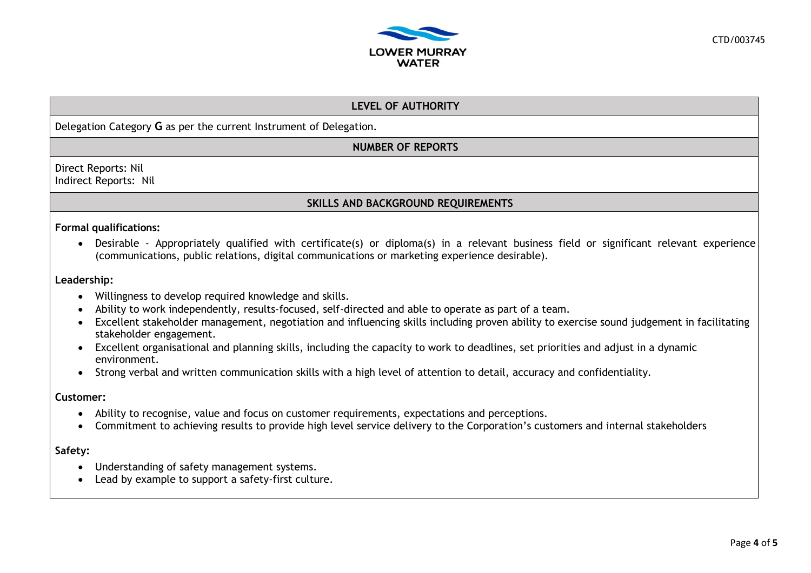

## **LEVEL OF AUTHORITY**

### Delegation Category **G** as per the current Instrument of Delegation.

## **NUMBER OF REPORTS**

Direct Reports: Nil Indirect Reports: Nil

## **SKILLS AND BACKGROUND REQUIREMENTS**

#### **Formal qualifications:**

• Desirable - Appropriately qualified with certificate(s) or diploma(s) in a relevant business field or significant relevant experience (communications, public relations, digital communications or marketing experience desirable).

#### **Leadership:**

- Willingness to develop required knowledge and skills.
- Ability to work independently, results-focused, self-directed and able to operate as part of a team.
- Excellent stakeholder management, negotiation and influencing skills including proven ability to exercise sound judgement in facilitating stakeholder engagement.
- Excellent organisational and planning skills, including the capacity to work to deadlines, set priorities and adjust in a dynamic environment.
- Strong verbal and written communication skills with a high level of attention to detail, accuracy and confidentiality.

#### **Customer:**

- Ability to recognise, value and focus on customer requirements, expectations and perceptions.
- Commitment to achieving results to provide high level service delivery to the Corporation's customers and internal stakeholders

#### **Safety:**

- Understanding of safety management systems.
- Lead by example to support a safety-first culture.